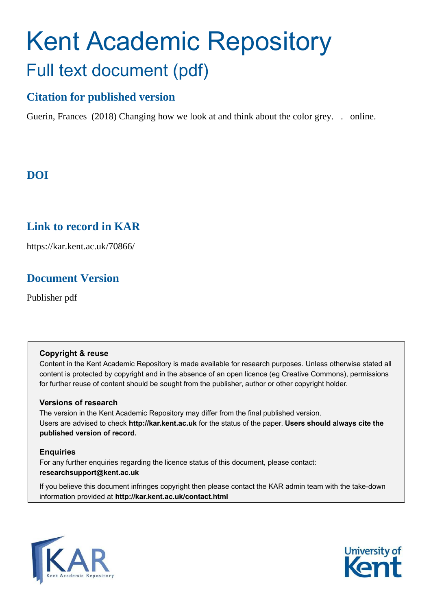# Kent Academic Repository Full text document (pdf)

### **Citation for published version**

Guerin, Frances (2018) Changing how we look at and think about the color grey. . online.

## **DOI**

## **Link to record in KAR**

https://kar.kent.ac.uk/70866/

### **Document Version**

Publisher pdf

### **Copyright & reuse**

Content in the Kent Academic Repository is made available for research purposes. Unless otherwise stated all content is protected by copyright and in the absence of an open licence (eg Creative Commons), permissions for further reuse of content should be sought from the publisher, author or other copyright holder.

### **Versions of research**

The version in the Kent Academic Repository may differ from the final published version. Users are advised to check **http://kar.kent.ac.uk** for the status of the paper. **Users should always cite the published version of record.**

### **Enquiries**

For any further enquiries regarding the licence status of this document, please contact: **researchsupport@kent.ac.uk**

If you believe this document infringes copyright then please contact the KAR admin team with the take-down information provided at **http://kar.kent.ac.uk/contact.html**



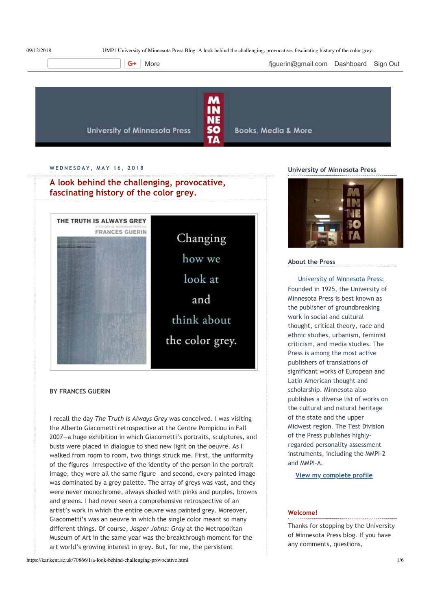UMP | University of Minnesota Press Blog: A look behind the challenging, provocative, fascinating history of the color grey.

More **the Community of the Community** figuerin@gmail.com Dashboard Sign Out



#### **W E D N E S D A Y , M A Y 1 6 , 2 0 1 8**

**A look behind the challenging, provocative, fascinating history of the color grey.**



#### **BY FRANCES GUERIN**

I recall the day *The Truth Is Always Grey* was conceived. I was visiting the Alberto Giacometti retrospective at the Centre Pompidou in Fall 2007—a huge exhibition in which Giacometti's portraits, sculptures, and busts were placed in dialogue to shed new light on the oeuvre. As I walked from room to room, two things struck me. First, the uniformity of the figures—irrespective of the identity of the person in the portrait image, they were all the same figure—and second, every painted image was dominated by a grey palette. The array of greys was vast, and they were never monochrome, always shaded with pinks and purples, browns and greens. I had never seen a comprehensive retrospective of an artist's work in which the entire oeuvre was painted grey. Moreover, Giacometti's was an oeuvre in which the single color meant so many different things. Of course, *Jasper Johns: Gray* at the Metropolitan Museum of Art in the same year was the breakthrough moment for the art world's growing interest in grey. But, for me, the persistent

https://kar.kent.ac.uk/70866/1/a-look-behind-challenging-provocative.html 1/6

#### **University of Minnesota Press**



#### **About the Press**

#### University of Minnesota Press: Founded in 1925, the University of

Minnesota Press is best known as the publisher of groundbreaking work in social and cultural thought, critical theory, race and ethnic studies, urbanism, feminist criticism, and media studies. The Press is among the most active publishers of translations of significant works of European and Latin American thought and scholarship. Minnesota also publishes a diverse list of works on the cultural and natural heritage of the state and the upper Midwest region. The Test Division of the Press publishes highlyregarded personality assessment instruments, including the MMPI-2 and MMPI‑A.

**View my complete profile**

#### **Welcome!**

Thanks for stopping by the University of Minnesota Press blog. If you have any comments, questions,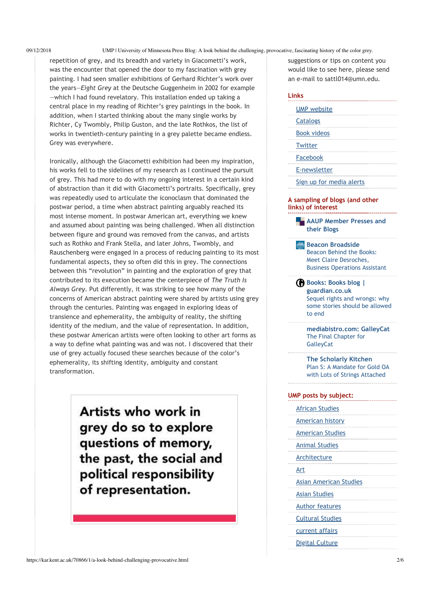09/12/2018 UMP | University of Minnesota Press Blog: A look behind the challenging, provocative, fascinating history of the color grey.

repetition of grey, and its breadth and variety in Giacometti's work, was the encounter that opened the door to my fascination with grey painting. I had seen smaller exhibitions of Gerhard Richter's work over the years—*Eight Grey* at the Deutsche Guggenheim in 2002 for example —which I had found revelatory. This installation ended up taking a central place in my reading of Richter's grey paintings in the book. In addition, when I started thinking about the many single works by Richter, Cy Twombly, Philip Guston, and the late Rothkos, the list of works in twentieth-century painting in a grey palette became endless. Grey was everywhere.

Ironically, although the Giacometti exhibition had been my inspiration, his works fell to the sidelines of my research as I continued the pursuit of grey. This had more to do with my ongoing interest in a certain kind of abstraction than it did with Giacometti's portraits. Specifically, grey was repeatedly used to articulate the iconoclasm that dominated the postwar period, a time when abstract painting arguably reached its most intense moment. In postwar American art, everything we knew and assumed about painting was being challenged. When all distinction between figure and ground was removed from the canvas, and artists such as Rothko and Frank Stella, and later Johns, Twombly, and Rauschenberg were engaged in a process of reducing painting to its most fundamental aspects, they so often did this in grey. The connections between this "revolution" in painting and the exploration of grey that contributed to its execution became the centerpiece of *The Truth Is Always Grey*. Put differently, it was striking to see how many of the concerns of American abstract painting were shared by artists using grey through the centuries. Painting was engaged in exploring ideas of transience and ephemerality, the ambiguity of reality, the shifting identity of the medium, and the value of representation. In addition, these postwar American artists were often looking to other art forms as a way to define what painting was and was not. I discovered that their use of grey actually focused these searches because of the color's ephemerality, its shifting identity, ambiguity and constant transformation.

> Artists who work in grey do so to explore questions of memory, the past, the social and political responsibility of representation.

suggestions or tips on content you would like to see here, please send an e‑mail to sattl014@umn.edu.

### **AAUP Member Presses and their Blogs Links** UMP website **Catalogs** Book videos **Twitter** Facebook E‑newsletter Sign up for media alerts **A sampling of blogs (and other links) of interest**

**Beacon Broadside** Beacon Behind the Books: Meet Claire Desroches, Business Operations Assistant

**Books: Books blog | guardian.co.uk** Sequel rights and wrongs: why some stories should be allowed to end

**mediabistro.com: GalleyCat** The Final Chapter for **GalleyCat** 

**The Scholarly Kitchen** Plan S: A Mandate for Gold OA with Lots of Strings Attached

| UMP posts by subject: |                               |  |  |  |
|-----------------------|-------------------------------|--|--|--|
|                       | <b>African Studies</b>        |  |  |  |
|                       | <b>American history</b>       |  |  |  |
|                       | <b>American Studies</b>       |  |  |  |
|                       | <b>Animal Studies</b>         |  |  |  |
|                       | Architecture                  |  |  |  |
| Art                   |                               |  |  |  |
|                       | <b>Asian American Studies</b> |  |  |  |
|                       | <b>Asian Studies</b>          |  |  |  |
|                       | <b>Author features</b>        |  |  |  |
|                       | <b>Cultural Studies</b>       |  |  |  |
|                       | current affairs               |  |  |  |
|                       | <b>Digital Culture</b>        |  |  |  |
|                       |                               |  |  |  |

. . . . . . .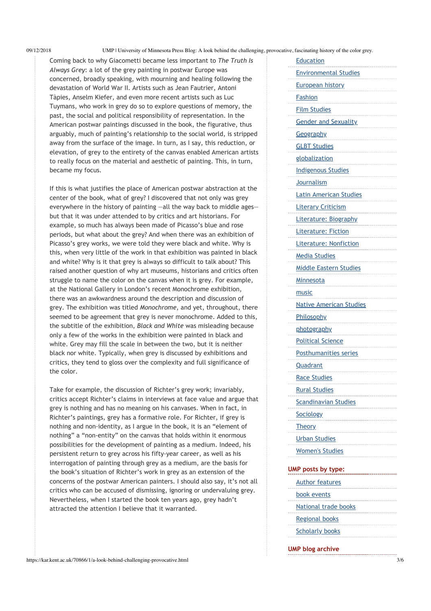09/12/2018 UMP | University of Minnesota Press Blog: A look behind the challenging, provocative, fascinating history of the color grey.

Coming back to why Giacometti became less important to *The Truth Is Always Grey*: a lot of the grey painting in postwar Europe was concerned, broadly speaking, with mourning and healing following the devastation of World War II. Artists such as Jean Fautrier, Antoni Tàpies, Anselm Kiefer, and even more recent artists such as Luc Tuymans, who work in grey do so to explore questions of memory, the past, the social and political responsibility of representation. In the American postwar paintings discussed in the book, the figurative, thus arguably, much of painting's relationship to the social world, is stripped away from the surface of the image. In turn, as I say, this reduction, or elevation, of grey to the entirety of the canvas enabled American artists to really focus on the material and aesthetic of painting. This, in turn, became my focus.

If this is what justifies the place of American postwar abstraction at the center of the book, what of grey? I discovered that not only was grey everywhere in the history of painting —all the way back to middle ages but that it was under attended to by critics and art historians. For example, so much has always been made of Picasso's blue and rose periods, but what about the grey? And when there was an exhibition of Picasso's grey works, we were told they were black and white. Why is this, when very little of the work in that exhibition was painted in black and white? Why is it that grey is always so difficult to talk about? This raised another question of why art museums, historians and critics often struggle to name the color on the canvas when it is grey. For example, at the National Gallery in London's recent Monochrome exhibition, there was an awkwardness around the description and discussion of grey. The exhibition was titled *Monochrome*, and yet, throughout, there seemed to be agreement that grey is never monochrome. Added to this, the subtitle of the exhibition, *Black and White* was misleading because only a few of the works in the exhibition were painted in black and white. Grey may fill the scale in between the two, but it is neither black nor white. Typically, when grey is discussed by exhibitions and critics, they tend to gloss over the complexity and full significance of the color.

Take for example, the discussion of Richter's grey work; invariably, critics accept Richter's claims in interviews at face value and argue that grey is nothing and has no meaning on his canvases. When in fact, in Richter's paintings, grey has a formative role. For Richter, if grey is nothing and non‑identity, as I argue in the book, it is an "element of nothing" a "non-entity" on the canvas that holds within it enormous possibilities for the development of painting as a medium. Indeed, his persistent return to grey across his fifty-year career, as well as his interrogation of painting through grey as a medium, are the basis for the book's situation of Richter's work in grey as an extension of the concerns of the postwar American painters. I should also say, it's not all critics who can be accused of dismissing, ignoring or undervaluing grey. Nevertheless, when I started the book ten years ago, grey hadn't attracted the attention I believe that it warranted.

| Education                      |
|--------------------------------|
| <b>Environmental Studies</b>   |
| <b>European history</b>        |
| <b>Fashion</b>                 |
| <b>Film Studies</b>            |
| <b>Gender and Sexuality</b>    |
| Geography                      |
| <b>GLBT Studies</b>            |
| <u>globalization</u>           |
| <b>Indigenous Studies</b>      |
| Journalism                     |
| <b>Latin American Studies</b>  |
| <b>Literary Criticism</b>      |
| Literature: Biography          |
| <b>Literature: Fiction</b>     |
| <b>Literature: Nonfiction</b>  |
| <b>Media Studies</b>           |
| Middle Eastern Studies         |
| <b>Minnesota</b>               |
| music                          |
| <b>Native American Studies</b> |
| <b>Philosophy</b>              |
| <u>photography</u>             |
| <b>Political Science</b>       |
| Posthumanities series          |
| <b>Quadrant</b>                |
| <b>Race Studies</b>            |
| <b>Rural Studies</b>           |
| Scandinavian Studies           |
| <b>Sociology</b>               |
| <b>Theory</b>                  |
| <b>Urban Studies</b>           |
| <b>Women's Studies</b>         |
|                                |
| UMP posts by type:             |
| <b>Author features</b>         |
| book events                    |
| National trade books           |
| <b>Regional books</b>          |
| <b>Scholarly books</b>         |

#### **UMP blog archive**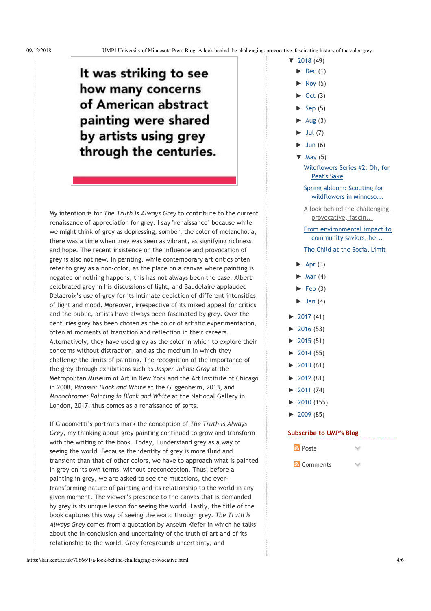## It was striking to see how many concerns of American abstract painting were shared by artists using grey through the centuries.

My intention is for *The Truth Is Always Grey* to contribute to the current renaissance of appreciation for grey. I say "renaissance" because while we might think of grey as depressing, somber, the color of melancholia, there was a time when grey was seen as vibrant, as signifying richness and hope. The recent insistence on the influence and provocation of grey is also not new. In painting, while contemporary art critics often refer to grey as a non‑color, as the place on a canvas where painting is negated or nothing happens, this has not always been the case. Alberti celebrated grey in his discussions of light, and Baudelaire applauded Delacroix's use of grey for its intimate depiction of different intensities of light and mood. Moreover, irrespective of its mixed appeal for critics and the public, artists have always been fascinated by grey. Over the centuries grey has been chosen as the color of artistic experimentation, often at moments of transition and reflection in their careers. Alternatively, they have used grey as the color in which to explore their concerns without distraction, and as the medium in which they challenge the limits of painting. The recognition of the importance of the grey through exhibitions such as *Jasper Johns: Gray* at the Metropolitan Museum of Art in New York and the Art Institute of Chicago in 2008, *Picasso: Black and White* at the Guggenheim, 2013, and *Monochrome: Painting in Black and White* at the National Gallery in London, 2017, thus comes as a renaissance of sorts.

If Giacometti's portraits mark the conception of *The Truth Is Always Grey*, my thinking about grey painting continued to grow and transform with the writing of the book. Today, I understand grey as a way of seeing the world. Because the identity of grey is more fluid and transient than that of other colors, we have to approach what is painted in grey on its own terms, without preconception. Thus, before a painting in grey, we are asked to see the mutations, the evertransforming nature of painting and its relationship to the world in any given moment. The viewer's presence to the canvas that is demanded by grey is its unique lesson for seeing the world. Lastly, the title of the book captures this way of seeing the world through grey. *The Truth is Always Grey* comes from a quotation by Anselm Kiefer in which he talks about the in‑conclusion and uncertainty of the truth of art and of its relationship to the world. Grey foregrounds uncertainty, and

- ヤ 2018 (49)
	- $\blacktriangleright$  Dec (1)
	- $\blacktriangleright$  Nov (5)
	- $Oct(3)$
	- $\blacktriangleright$  Sep (5)
	- $\blacktriangleright$  Aug (3)
	- $\blacktriangleright$  Jul (7)
	- $\blacktriangleright$  Jun (6)
	- $\nabla$  May (5)

Wildflowers Series #2: Oh, for Peat's Sake

Spring abloom: Scouting for wildflowers in Minneso...

A look behind the challenging, provocative, fascin...

From environmental impact to community saviors, he... The Child at the Social Limit

- $\blacktriangleright$  Apr (3)
- $\blacktriangleright$  Mar (4)
- $\blacktriangleright$  Feb (3)
- $\blacktriangleright$  Jan (4)
- $\blacktriangleright$  2017 (41)
- $\blacktriangleright$  2016 (53)
- $\blacktriangleright$  2015 (51)
- $\blacktriangleright$  2014 (55)
- $\blacktriangleright$  2013 (61)
- $\blacktriangleright$  2012 (81)
- $\blacktriangleright$  2011 (74)
- $\blacktriangleright$  2010 (155)
- $\blacktriangleright$  2009 (85)

#### **Subscribe to UMP's Blog**

| <mark>බ</mark> Posts |  |
|----------------------|--|
|                      |  |

**N** Comments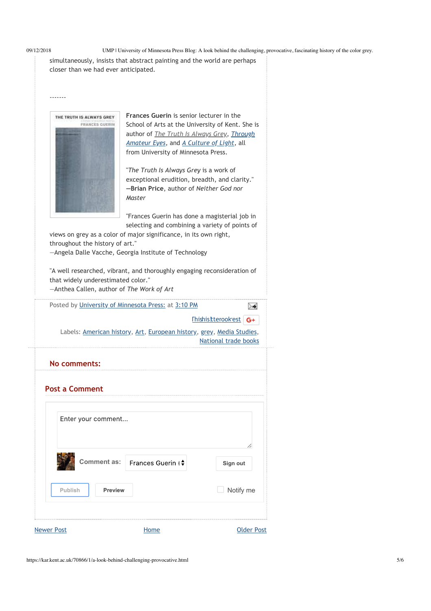‑‑‑‑‑‑‑

09/12/2018 UMP | University of Minnesota Press Blog: A look behind the challenging, provocative, fascinating history of the color grey.

simultaneously, insists that abstract painting and the world are perhaps closer than we had ever anticipated.



**Frances Guerin** is senior lecturer in the School of Arts at the University of Kent. She is author of *The Truth Is Always Grey*, *Through Amateur Eyes*, and *A Culture of Light*, all from University of Minnesota Press.

"*The Truth Is Always Grey* is a work of exceptional erudition, breadth, and clarity." **—Brian Price**, author of *Neither God nor Master*

"Frances Guerin has done a magisterial job in selecting and combining a variety of points of

views on grey as a color of major significance, in its own right, throughout the history of art." —Angela Dalle Vacche, Georgia Institute of Technology

"A well researched, vibrant, and thoroughly engaging reconsideration of that widely underestimated color." —Anthea Callen, author of *The Work of Art*

Posted by University of Minnesota Press: at 3:10 PM

Thishis!tterookrest G+

≻≼

Labels: American history, Art, European history, grey, Media Studies, National trade books

| No comments:          |                                  |                   |
|-----------------------|----------------------------------|-------------------|
| <b>Post a Comment</b> |                                  |                   |
| Enter your comment    |                                  |                   |
|                       | Comment as:   Frances Guerin I + | Sign out          |
| Publish               | Preview                          | Notify me         |
| <b>Newer Post</b>     | Home                             | <b>Older Post</b> |